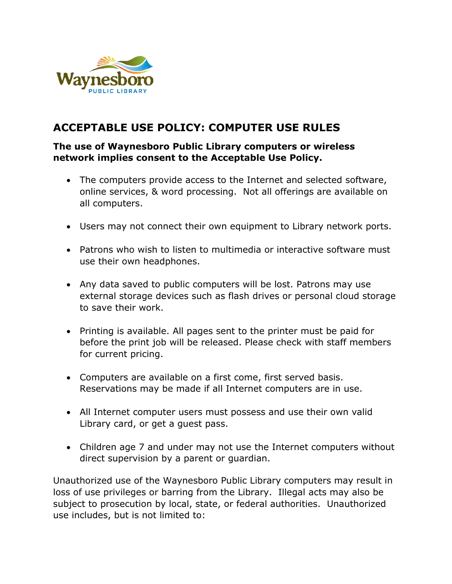

## **ACCEPTABLE USE POLICY: COMPUTER USE RULES**

## **The use of Waynesboro Public Library computers or wireless network implies consent to the Acceptable Use Policy.**

- The computers provide access to the Internet and selected software, online services, & word processing. Not all offerings are available on all computers.
- Users may not connect their own equipment to Library network ports.
- Patrons who wish to listen to multimedia or interactive software must use their own headphones.
- Any data saved to public computers will be lost. Patrons may use external storage devices such as flash drives or personal cloud storage to save their work.
- Printing is available. All pages sent to the printer must be paid for before the print job will be released. Please check with staff members for current pricing.
- Computers are available on a first come, first served basis. Reservations may be made if all Internet computers are in use.
- All Internet computer users must possess and use their own valid Library card, or get a guest pass.
- Children age 7 and under may not use the Internet computers without direct supervision by a parent or guardian.

Unauthorized use of the Waynesboro Public Library computers may result in loss of use privileges or barring from the Library. Illegal acts may also be subject to prosecution by local, state, or federal authorities. Unauthorized use includes, but is not limited to: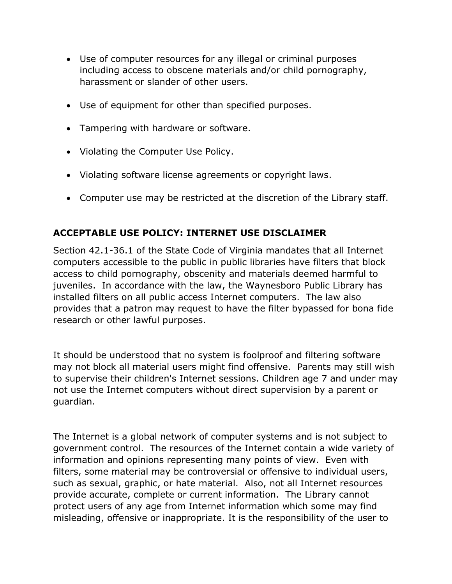- Use of computer resources for any illegal or criminal purposes including access to obscene materials and/or child pornography, harassment or slander of other users.
- Use of equipment for other than specified purposes.
- Tampering with hardware or software.
- Violating the Computer Use Policy.
- Violating software license agreements or copyright laws.
- Computer use may be restricted at the discretion of the Library staff.

## **ACCEPTABLE USE POLICY: INTERNET USE DISCLAIMER**

Section 42.1-36.1 of the State Code of Virginia mandates that all Internet computers accessible to the public in public libraries have filters that block access to child pornography, obscenity and materials deemed harmful to juveniles. In accordance with the law, the Waynesboro Public Library has installed filters on all public access Internet computers. The law also provides that a patron may request to have the filter bypassed for bona fide research or other lawful purposes.

It should be understood that no system is foolproof and filtering software may not block all material users might find offensive. Parents may still wish to supervise their children's Internet sessions. Children age 7 and under may not use the Internet computers without direct supervision by a parent or guardian.

The Internet is a global network of computer systems and is not subject to government control. The resources of the Internet contain a wide variety of information and opinions representing many points of view. Even with filters, some material may be controversial or offensive to individual users, such as sexual, graphic, or hate material. Also, not all Internet resources provide accurate, complete or current information. The Library cannot protect users of any age from Internet information which some may find misleading, offensive or inappropriate. It is the responsibility of the user to